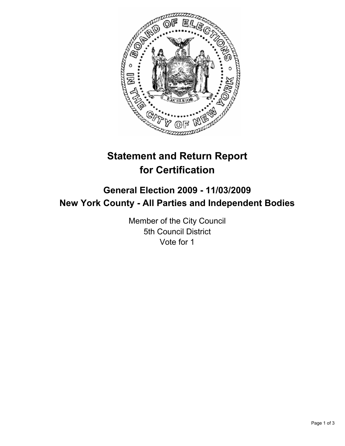

# **Statement and Return Report for Certification**

# **General Election 2009 - 11/03/2009 New York County - All Parties and Independent Bodies**

Member of the City Council 5th Council District Vote for 1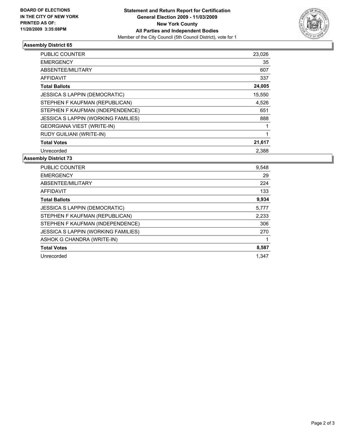

#### **Assembly District 65**

| <b>PUBLIC COUNTER</b>                | 23,026 |
|--------------------------------------|--------|
| <b>EMERGENCY</b>                     | 35     |
| ABSENTEE/MILITARY                    | 607    |
| <b>AFFIDAVIT</b>                     | 337    |
| <b>Total Ballots</b>                 | 24,005 |
| <b>JESSICA S LAPPIN (DEMOCRATIC)</b> | 15,550 |
| STEPHEN F KAUFMAN (REPUBLICAN)       | 4,526  |
| STEPHEN F KAUFMAN (INDEPENDENCE)     | 651    |
| JESSICA S LAPPIN (WORKING FAMILIES)  | 888    |
| <b>GEORGIANA VIEST (WRITE-IN)</b>    |        |
| RUDY GUILIANI (WRITE-IN)             |        |
| <b>Total Votes</b>                   | 21,617 |
| Unrecorded                           | 2,388  |

## **Assembly District 73**

| <b>PUBLIC COUNTER</b>                | 9,548 |
|--------------------------------------|-------|
| <b>EMERGENCY</b>                     | 29    |
| ABSENTEE/MILITARY                    | 224   |
| <b>AFFIDAVIT</b>                     | 133   |
| <b>Total Ballots</b>                 | 9,934 |
| <b>JESSICA S LAPPIN (DEMOCRATIC)</b> | 5,777 |
| STEPHEN F KAUFMAN (REPUBLICAN)       | 2,233 |
| STEPHEN F KAUFMAN (INDEPENDENCE)     | 306   |
| JESSICA S LAPPIN (WORKING FAMILIES)  | 270   |
| ASHOK G CHANDRA (WRITE-IN)           |       |
| <b>Total Votes</b>                   | 8,587 |
| Unrecorded                           | 1.347 |